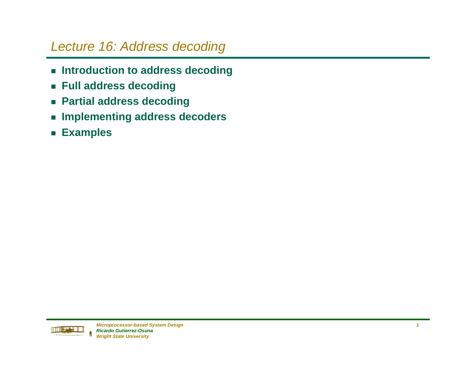### Lecture 16: Address decoding

- Introduction to address decoding
- g **Full address decoding**
- **Example 2 Partial address decoding**
- **Examplementing address decoders**
- g **Examples**

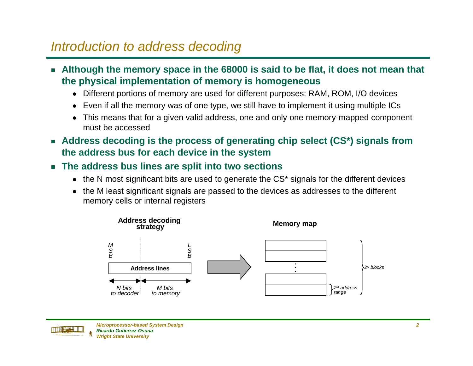### Introduction to address decoding

- **Example 11 Heropy Arts in the 68000 is said to be flat, it does not mean that the physical implementation of memory is homogeneous**
	- Different portions of memory are used for different purposes: RAM, ROM, I/O devices
	- Even if all the memory was of one type, we still have to implement it using multiple ICs
	- This means that for a given valid address, one and only one memory-mapped component must be accessed
- Address decoding is the process of generating chip select (CS\*) signals from **the address bus for each device in the system**
- g **The address bus lines are split into two sections**
	- $\bullet$  the N most significant bits are used to generate the CS\* signals for the different devices
	- n the M least significant signals are passed to the devices as addresses to the different memory cells or internal registers



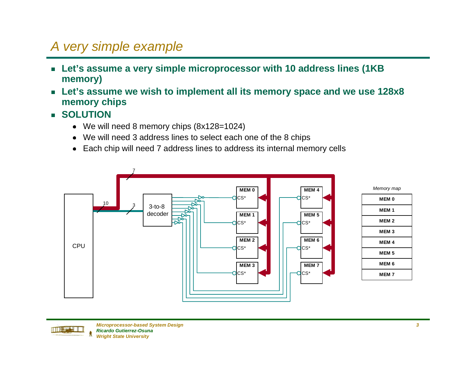# A very simple example

- Let's assume a very simple microprocessor with 10 address lines (1KB **memory)**
- Let's assume we wish to implement all its memory space and we use 128x8 **memory chips**
- g **SOLUTION**
	- We will need 8 memory chips (8x128=1024)
	- We will need 3 address lines to select each one of the 8 chips
	- Each chip will need 7 address lines to address its internal memory cells



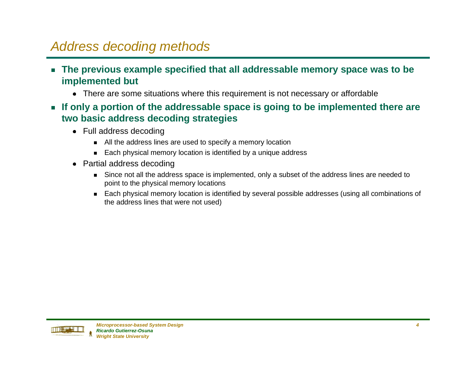## Address decoding methods

- **Example Specified that all addressable memory space was to be all and Precified that all addressable memory space was to be implemented but**
	- There are some situations where this requirement is not necessary or affordable
- If only a portion of the addressable space is going to be implemented there are **two basic address decoding strategies**
	- Full address decoding
		- $\quad$  All the address lines are used to specify a memory location
		- $\quad \blacksquare \quad$  Each physical memory location is identified by a unique address
	- Partial address decoding
		- Since not all the address space is implemented, only a subset of the address lines are needed to point to the physical memory locations
		- Each physical memory location is identified by several possible addresses (using all combinations of the address lines that were not used)

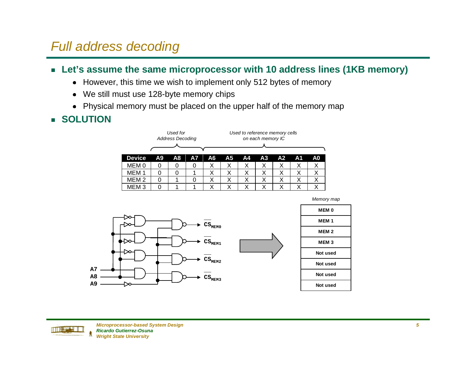### Full address decoding

#### ■ Let's assume the same microprocessor with 10 address lines (1KB memory)

- However, this time we wish to implement only 512 bytes of memory
- $\bullet$ We still must use 128-byte memory chips
- Physical memory must be placed on the upper half of the memory map

### g **SOLUTION**

|                  |    | Used for<br><b>Address Decoding</b> |           |    | Used to reference memory cells<br>on each memory IC |                                                          |   |   |   |   |  |  |  |  |
|------------------|----|-------------------------------------|-----------|----|-----------------------------------------------------|----------------------------------------------------------|---|---|---|---|--|--|--|--|
| <b>Device</b>    | Α9 | A8                                  | <b>A7</b> | A6 | A <sub>5</sub>                                      | A <sub>1</sub><br>A <sub>2</sub><br>A <sub>3</sub><br>A4 |   |   |   |   |  |  |  |  |
| MEM 0            | O  | O                                   | 0         | Х  |                                                     | х                                                        | Х | Χ | х | х |  |  |  |  |
| мем              |    | 0                                   |           | Х  | Χ                                                   | х                                                        | х | Х | х | Х |  |  |  |  |
| MEM <sub>2</sub> |    |                                     | 0         | Χ  | Х                                                   | Х                                                        | х | Х | Χ | Х |  |  |  |  |
| MEM 3            |    |                                     |           | х  |                                                     |                                                          | Х | Х | х | X |  |  |  |  |



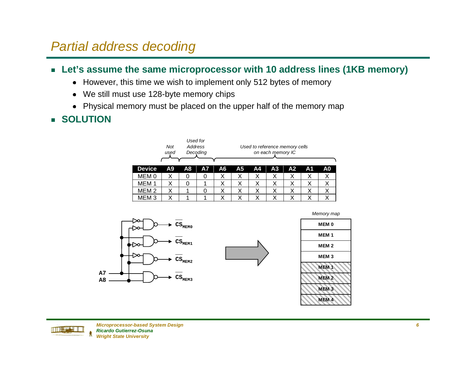### Partial address decoding

#### ■ Let's assume the same microprocessor with 10 address lines (1KB memory)

- However, this time we wish to implement only 512 bytes of memory
- $\bullet$ We still must use 128-byte memory chips
- Physical memory must be placed on the upper half of the memory map

### g **SOLUTION**







| <b>MEM0</b>      |
|------------------|
| MEM <sub>1</sub> |
| MEM <sub>2</sub> |
| MEM <sub>3</sub> |
| <b>MEM1</b>      |
| MEM <sub>2</sub> |
| MEM <sub>3</sub> |
| MEM <sub>4</sub> |
|                  |

Memory map

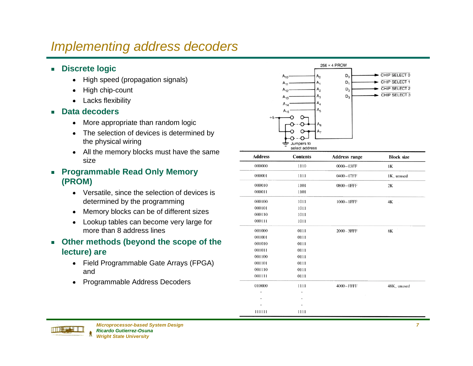### Implementing address decoders

- Discrete logic
	- $\bullet$ High speed (propagation signals)
	- $\bullet$ High chip-count
	- $\bullet$ Lacks flexibility
- Data decoders
	- $\bullet$ More appropriate than random logic
	- The selection of devices is determined by the physical wiring
	- All the memory blocks must have the same size
- g **Programmable Read Only Memory (PROM)**
	- Versatile, since the selection of devices is determined by the programming
	- Memory blocks can be of different sizes
	- Lookup tables can become very large for more than 8 address lines
- **Example 3 Deg on the scope of the lecture) are**
	- Field Programmable Gate Arrays (FPGA) and
	- $\bullet$ Programmable Address Decoders



| <b>Address</b> | <b>Contents</b> | <b>Address range</b> | <b>Block size</b> |
|----------------|-----------------|----------------------|-------------------|
| 000000         | 1110            | 0000-03FF            | 1K                |
| 000001         | 1111            | 0400-07FF            | 1K, unused        |
| 000010         | 1101            | 0800-0FFF            | 2K                |
| 000011         | 1101            |                      |                   |
| 000100         | 1011            | $1000-1$ FFF         | 4K<br>i,          |
| 000101         | 1011            |                      |                   |
| 000110         | 1011            |                      |                   |
| 000111         | 1011            |                      |                   |
| 001000         | 0111            | 2000-3FFF            | 8K                |
| 001001         | 0111            |                      |                   |
| 001010         | 0111            |                      |                   |
| 001011         | 0111            |                      |                   |
| 001100         | 0111            |                      |                   |
| 001101         | 0111            |                      |                   |
| 001110         | 0111            |                      |                   |
| 001111         | 0111            |                      |                   |
| 010000         | 1111            | 4000-FFFF            | 48K, unused       |
| ٠              |                 |                      |                   |
| ٠              | ۰               |                      |                   |
|                |                 |                      |                   |
| 111111         | 1111            |                      |                   |

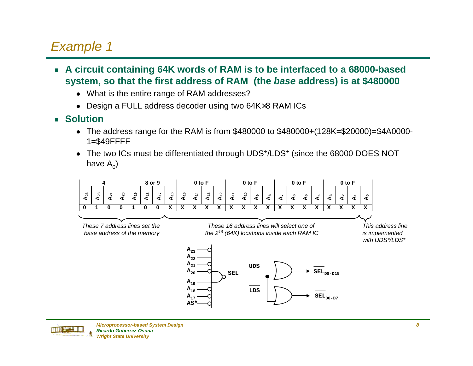- A circuit containing 64K words of RAM is to be interfaced to a 68000-based **system, so that the first address of RAM (the base address) is at \$480000**
	- What is the entire range of RAM addresses?
	- Design a FULL address decoder using two 64K $\times$ 8 RAM ICs
- g **Solution**
	- n The address range for the RAM is from \$480000 to \$480000+(128K=\$20000)=\$4A0000- 1=\$49FFFF
	- The two ICs must be differentiated through UDS\*/LDS\* (since the 68000 DOES NOT have  $A_0$ )



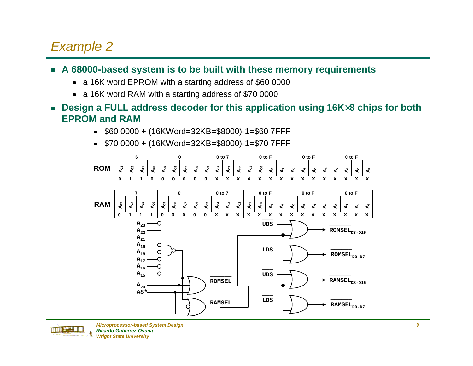#### ■ A 68000-based system is to be built with these memory requirements

- a 16K word EPROM with a starting address of \$60 0000
- a 16K word RAM with a starting address of \$70 0000
- Design a FULL address decoder for this application using 16K×8 chips for both **EPROM and RAM**
	- g \$60 0000 + (16KWord=32KB=\$8000)-1=\$60 7FFF
	- g \$70 0000 + (16KWord=32KB=\$8000)-1=\$70 7FFF



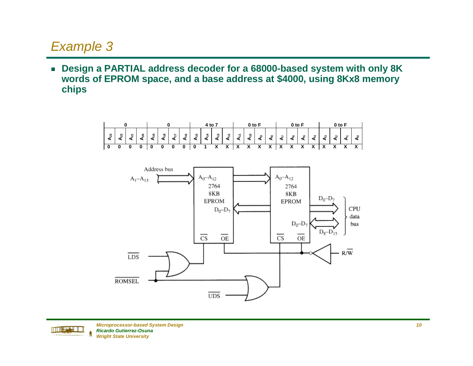■ Design a PARTIAL address decoder for a 68000-based system with only 8K **words of EPROM space, and a base address at \$4000, using 8Kx8 memory chips**